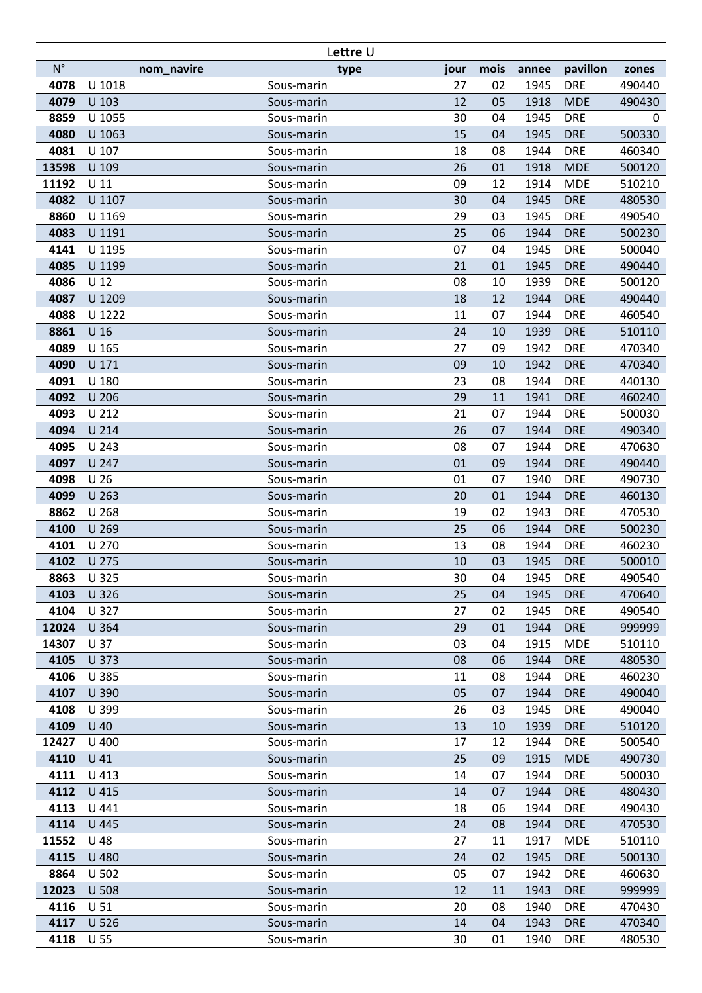| Lettre U    |                 |                          |              |      |       |            |        |
|-------------|-----------------|--------------------------|--------------|------|-------|------------|--------|
| $N^{\circ}$ |                 | nom_navire               | type<br>jour | mois | annee | pavillon   | zones  |
| 4078        | U 1018          | Sous-marin               | 27           | 02   | 1945  | <b>DRE</b> | 490440 |
| 4079        | U 103           | Sous-marin               | 12           | 05   | 1918  | <b>MDE</b> | 490430 |
| 8859        | U 1055          | Sous-marin               | 30           | 04   | 1945  | <b>DRE</b> | 0      |
| 4080        | U 1063          | Sous-marin               | 15           | 04   | 1945  | <b>DRE</b> | 500330 |
| 4081        | U 107           | Sous-marin               | 18           | 08   | 1944  | <b>DRE</b> | 460340 |
| 13598       | U 109           | Sous-marin               | 26           | 01   | 1918  | <b>MDE</b> | 500120 |
| 11192       | $U$ 11          | Sous-marin               | 09           | 12   | 1914  | <b>MDE</b> | 510210 |
| 4082        | U 1107          | Sous-marin               | 30           | 04   | 1945  | <b>DRE</b> | 480530 |
| 8860        | U 1169          | Sous-marin               | 29           | 03   | 1945  | <b>DRE</b> | 490540 |
| 4083        | U 1191          | Sous-marin               | 25           | 06   | 1944  | <b>DRE</b> | 500230 |
| 4141        | U 1195          | Sous-marin               | 07           | 04   | 1945  | <b>DRE</b> | 500040 |
| 4085        | U 1199          | Sous-marin               | 21           | 01   | 1945  | <b>DRE</b> | 490440 |
| 4086        | $U$ 12          | Sous-marin               | 08           | 10   | 1939  | <b>DRE</b> | 500120 |
| 4087        | U 1209          | Sous-marin               | 18           | 12   | 1944  | <b>DRE</b> | 490440 |
| 4088        | U 1222          | Sous-marin               | 11           | 07   | 1944  | <b>DRE</b> | 460540 |
| 8861        | U <sub>16</sub> | Sous-marin               | 24           | 10   | 1939  | <b>DRE</b> | 510110 |
| 4089        | U 165           | Sous-marin               | 27           | 09   | 1942  | <b>DRE</b> | 470340 |
| 4090        | U 171           | Sous-marin               | 09           | 10   | 1942  | <b>DRE</b> | 470340 |
| 4091        | U 180           | Sous-marin               | 23           | 08   | 1944  | <b>DRE</b> | 440130 |
| 4092        | U 206           | Sous-marin               | 29           | 11   | 1941  | <b>DRE</b> | 460240 |
| 4093        | U 212           | Sous-marin               | 21           | 07   | 1944  | <b>DRE</b> | 500030 |
| 4094        | U 214           | Sous-marin               | 26           | 07   | 1944  | <b>DRE</b> | 490340 |
| 4095        | U 243           | Sous-marin               | 08           | 07   | 1944  | <b>DRE</b> | 470630 |
| 4097        | U 247           | Sous-marin               | 01           | 09   | 1944  | <b>DRE</b> | 490440 |
| 4098        | U <sub>26</sub> | Sous-marin               | 01           | 07   | 1940  | <b>DRE</b> | 490730 |
| 4099        | U 263           |                          | 20           | 01   | 1944  | <b>DRE</b> | 460130 |
| 8862        | U 268           | Sous-marin               | 19           | 02   | 1943  | <b>DRE</b> | 470530 |
| 4100        | U 269           | Sous-marin<br>Sous-marin | 25           | 06   | 1944  | <b>DRE</b> | 500230 |
| 4101        | U 270           | Sous-marin               | 13           | 08   | 1944  | <b>DRE</b> | 460230 |
| 4102        | U 275           | Sous-marin               | 10           | 03   | 1945  | <b>DRE</b> | 500010 |
| 8863        | U 325           | Sous-marin               | 30           | 04   | 1945  | <b>DRE</b> | 490540 |
| 4103        | U 326           | Sous-marin               | 25           | 04   | 1945  | <b>DRE</b> | 470640 |
| 4104        | U 327           |                          | 27           | 02   | 1945  | <b>DRE</b> | 490540 |
| 12024       | U 364           | Sous-marin<br>Sous-marin | 29           | 01   | 1944  | <b>DRE</b> | 999999 |
| 14307       | U 37            | Sous-marin               | 03           | 04   | 1915  | <b>MDE</b> | 510110 |
| 4105        | U 373           | Sous-marin               | 08           | 06   | 1944  | <b>DRE</b> | 480530 |
| 4106        | U 385           | Sous-marin               | 11           | 08   | 1944  | <b>DRE</b> | 460230 |
| 4107        | U 390           | Sous-marin               | 05           | 07   | 1944  | <b>DRE</b> | 490040 |
| 4108        | U 399           | Sous-marin               | 26           | 03   | 1945  | <b>DRE</b> | 490040 |
| 4109        | $U$ 40          |                          | 13           | 10   | 1939  | <b>DRE</b> | 510120 |
| 12427       | U 400           | Sous-marin               | 17           | 12   | 1944  | <b>DRE</b> | 500540 |
| 4110        |                 | Sous-marin               |              | 09   |       |            |        |
|             | $U$ 41          | Sous-marin               | 25           |      | 1915  | <b>MDE</b> | 490730 |
| 4111        | U 413           | Sous-marin               | 14           | 07   | 1944  | <b>DRE</b> | 500030 |
| 4112        | U 415           | Sous-marin               | 14           | 07   | 1944  | <b>DRE</b> | 480430 |
| 4113        | U 441           | Sous-marin               | 18           | 06   | 1944  | <b>DRE</b> | 490430 |
| 4114        | U 445           | Sous-marin               | 24           | 08   | 1944  | <b>DRE</b> | 470530 |
| 11552       | U 48            | Sous-marin               | 27           | 11   | 1917  | <b>MDE</b> | 510110 |
| 4115        | U 480           | Sous-marin               | 24           | 02   | 1945  | <b>DRE</b> | 500130 |
| 8864        | U 502           | Sous-marin               | 05           | 07   | 1942  | <b>DRE</b> | 460630 |
| 12023       | U 508           | Sous-marin               | 12           | 11   | 1943  | <b>DRE</b> | 999999 |
| 4116        | U <sub>51</sub> | Sous-marin               | 20           | 08   | 1940  | <b>DRE</b> | 470430 |
| 4117        | U 526           | Sous-marin               | 14           | 04   | 1943  | <b>DRE</b> | 470340 |
| 4118        | $U$ 55          | Sous-marin               | 30           | 01   | 1940  | <b>DRE</b> | 480530 |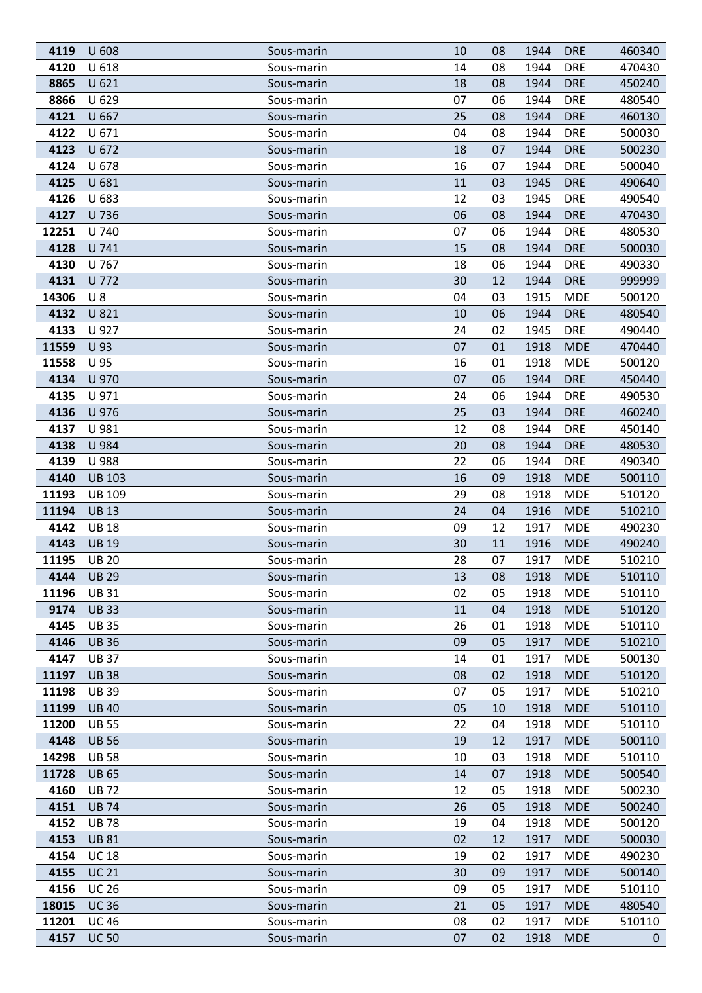| 4119  | U 608         | Sous-marin<br>10 | 08 | 1944 | <b>DRE</b> | 460340      |
|-------|---------------|------------------|----|------|------------|-------------|
| 4120  | U 618         | Sous-marin<br>14 | 08 | 1944 | <b>DRE</b> | 470430      |
| 8865  | U 621         | 18<br>Sous-marin | 08 | 1944 | <b>DRE</b> | 450240      |
| 8866  | U 629         | 07<br>Sous-marin | 06 | 1944 | <b>DRE</b> | 480540      |
| 4121  | U 667         | 25<br>Sous-marin | 08 | 1944 | <b>DRE</b> | 460130      |
| 4122  | U 671         | 04<br>Sous-marin | 08 | 1944 | <b>DRE</b> | 500030      |
| 4123  | U 672         | 18<br>Sous-marin | 07 | 1944 | <b>DRE</b> | 500230      |
| 4124  | U 678         | 16<br>Sous-marin | 07 | 1944 | <b>DRE</b> | 500040      |
| 4125  | U 681         | Sous-marin<br>11 | 03 | 1945 | <b>DRE</b> | 490640      |
| 4126  | U 683         | 12<br>Sous-marin | 03 | 1945 | <b>DRE</b> | 490540      |
| 4127  | U 736         | Sous-marin<br>06 | 08 | 1944 | <b>DRE</b> | 470430      |
| 12251 | U 740         | 07<br>Sous-marin | 06 | 1944 | <b>DRE</b> | 480530      |
| 4128  | U 741         | 15<br>Sous-marin | 08 | 1944 | <b>DRE</b> | 500030      |
| 4130  | U 767         | 18<br>Sous-marin | 06 | 1944 | <b>DRE</b> | 490330      |
| 4131  | U 772         | Sous-marin<br>30 | 12 | 1944 | <b>DRE</b> | 999999      |
| 14306 | $U_8$         | 04<br>Sous-marin | 03 | 1915 | <b>MDE</b> | 500120      |
| 4132  | U 821         | 10<br>Sous-marin | 06 | 1944 | <b>DRE</b> | 480540      |
| 4133  | U 927         | Sous-marin<br>24 | 02 | 1945 | <b>DRE</b> | 490440      |
| 11559 | U 93          | 07<br>Sous-marin | 01 | 1918 | <b>MDE</b> | 470440      |
| 11558 | U 95          | 16<br>Sous-marin | 01 | 1918 | <b>MDE</b> | 500120      |
| 4134  | U 970         | 07<br>Sous-marin | 06 | 1944 | <b>DRE</b> | 450440      |
| 4135  | U 971         | 24<br>Sous-marin | 06 | 1944 | <b>DRE</b> | 490530      |
| 4136  | U 976         | 25<br>Sous-marin | 03 | 1944 | <b>DRE</b> | 460240      |
| 4137  | U 981         | 12<br>Sous-marin | 08 | 1944 | <b>DRE</b> | 450140      |
| 4138  | U 984         | 20<br>Sous-marin | 08 | 1944 | <b>DRE</b> | 480530      |
| 4139  | U 988         | 22<br>Sous-marin | 06 | 1944 | <b>DRE</b> | 490340      |
| 4140  | <b>UB 103</b> | 16<br>Sous-marin | 09 | 1918 | <b>MDE</b> | 500110      |
| 11193 | <b>UB 109</b> | 29<br>Sous-marin | 08 | 1918 | <b>MDE</b> | 510120      |
| 11194 | <b>UB13</b>   | Sous-marin<br>24 | 04 | 1916 | <b>MDE</b> | 510210      |
| 4142  | <b>UB18</b>   | 09<br>Sous-marin | 12 | 1917 | <b>MDE</b> | 490230      |
| 4143  | <b>UB 19</b>  | 30<br>Sous-marin | 11 | 1916 | <b>MDE</b> | 490240      |
| 11195 | <b>UB 20</b>  | Sous-marin<br>28 | 07 | 1917 | <b>MDE</b> | 510210      |
| 4144  | <b>UB 29</b>  | Sous-marin<br>13 | 08 | 1918 | <b>MDE</b> | 510110      |
| 11196 | <b>UB31</b>   | 02<br>Sous-marin | 05 | 1918 | <b>MDE</b> | 510110      |
| 9174  | <b>UB33</b>   | 11<br>Sous-marin | 04 | 1918 | <b>MDE</b> | 510120      |
| 4145  | <b>UB35</b>   | 26<br>Sous-marin | 01 | 1918 | <b>MDE</b> | 510110      |
| 4146  | <b>UB36</b>   | 09<br>Sous-marin | 05 | 1917 | <b>MDE</b> | 510210      |
| 4147  | <b>UB37</b>   | Sous-marin<br>14 | 01 | 1917 | <b>MDE</b> | 500130      |
| 11197 | <b>UB38</b>   | 08<br>Sous-marin | 02 | 1918 | <b>MDE</b> | 510120      |
| 11198 | <b>UB39</b>   | 07<br>Sous-marin | 05 | 1917 | <b>MDE</b> | 510210      |
| 11199 | <b>UB40</b>   | 05<br>Sous-marin | 10 | 1918 | <b>MDE</b> | 510110      |
| 11200 | <b>UB 55</b>  | Sous-marin<br>22 | 04 | 1918 | <b>MDE</b> | 510110      |
| 4148  | <b>UB 56</b>  | Sous-marin<br>19 | 12 | 1917 | <b>MDE</b> | 500110      |
| 14298 | <b>UB58</b>   | Sous-marin<br>10 | 03 | 1918 | <b>MDE</b> | 510110      |
| 11728 | <b>UB 65</b>  | Sous-marin<br>14 | 07 | 1918 | <b>MDE</b> | 500540      |
| 4160  | <b>UB72</b>   | Sous-marin<br>12 | 05 | 1918 | <b>MDE</b> | 500230      |
| 4151  | <b>UB74</b>   | Sous-marin<br>26 | 05 | 1918 | <b>MDE</b> | 500240      |
| 4152  | <b>UB78</b>   | 19<br>Sous-marin | 04 | 1918 | <b>MDE</b> | 500120      |
| 4153  | <b>UB81</b>   | Sous-marin<br>02 | 12 | 1917 | <b>MDE</b> | 500030      |
| 4154  | <b>UC 18</b>  | 19<br>Sous-marin | 02 | 1917 | <b>MDE</b> | 490230      |
| 4155  | <b>UC 21</b>  | 30<br>Sous-marin | 09 | 1917 | <b>MDE</b> | 500140      |
| 4156  | <b>UC 26</b>  | Sous-marin<br>09 | 05 | 1917 | <b>MDE</b> | 510110      |
| 18015 | <b>UC36</b>   | 21<br>Sous-marin | 05 | 1917 | <b>MDE</b> | 480540      |
| 11201 | <b>UC 46</b>  | 08<br>Sous-marin | 02 | 1917 | <b>MDE</b> | 510110      |
| 4157  | <b>UC 50</b>  | Sous-marin<br>07 | 02 | 1918 | <b>MDE</b> | $\mathbf 0$ |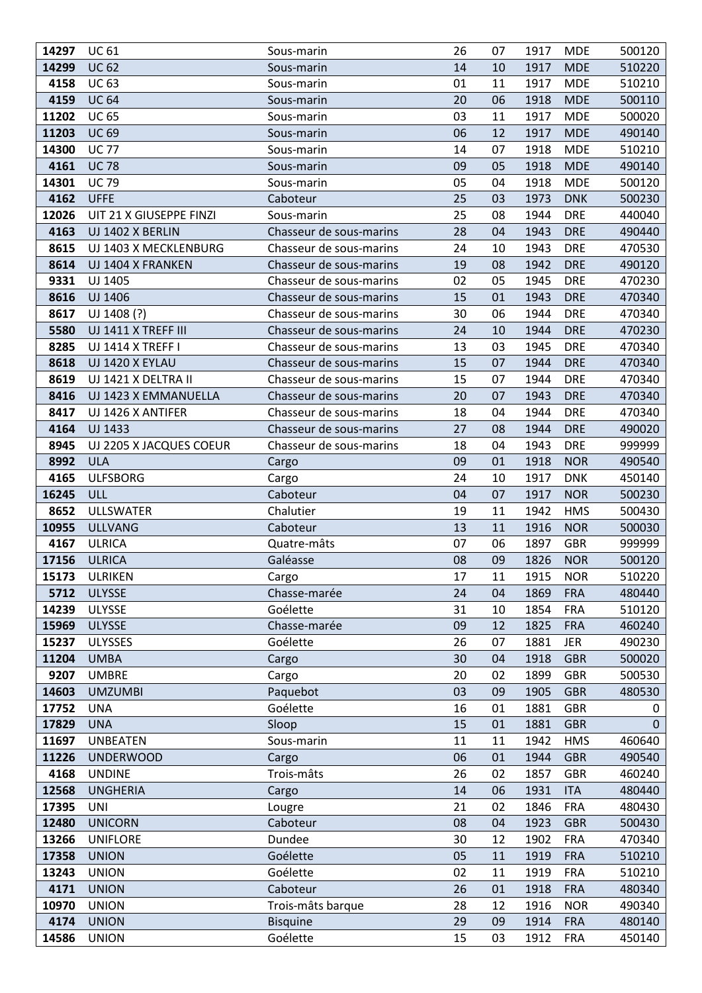| 14297 | <b>UC 61</b>            | Sous-marin              | 26 | 07 | 1917 | <b>MDE</b> | 500120 |
|-------|-------------------------|-------------------------|----|----|------|------------|--------|
| 14299 | <b>UC 62</b>            | Sous-marin              | 14 | 10 | 1917 | <b>MDE</b> | 510220 |
| 4158  | <b>UC 63</b>            | Sous-marin              | 01 | 11 | 1917 | <b>MDE</b> | 510210 |
| 4159  | <b>UC 64</b>            | Sous-marin              | 20 | 06 | 1918 | <b>MDE</b> | 500110 |
| 11202 | <b>UC 65</b>            | Sous-marin              | 03 | 11 | 1917 | <b>MDE</b> | 500020 |
| 11203 | <b>UC 69</b>            | Sous-marin              | 06 | 12 | 1917 | <b>MDE</b> | 490140 |
| 14300 | <b>UC 77</b>            | Sous-marin              | 14 | 07 | 1918 | <b>MDE</b> | 510210 |
| 4161  | <b>UC 78</b>            | Sous-marin              | 09 | 05 | 1918 | <b>MDE</b> | 490140 |
| 14301 | <b>UC 79</b>            | Sous-marin              | 05 | 04 | 1918 | <b>MDE</b> | 500120 |
| 4162  | <b>UFFE</b>             | Caboteur                | 25 | 03 | 1973 | <b>DNK</b> | 500230 |
| 12026 | UIT 21 X GIUSEPPE FINZI | Sous-marin              | 25 | 08 | 1944 | <b>DRE</b> | 440040 |
| 4163  | UJ 1402 X BERLIN        | Chasseur de sous-marins | 28 | 04 | 1943 | <b>DRE</b> | 490440 |
| 8615  | UJ 1403 X MECKLENBURG   | Chasseur de sous-marins | 24 | 10 | 1943 | <b>DRE</b> | 470530 |
| 8614  | UJ 1404 X FRANKEN       | Chasseur de sous-marins | 19 | 08 | 1942 | <b>DRE</b> | 490120 |
| 9331  | UJ 1405                 | Chasseur de sous-marins | 02 | 05 | 1945 | <b>DRE</b> | 470230 |
| 8616  | UJ 1406                 | Chasseur de sous-marins | 15 | 01 | 1943 | <b>DRE</b> | 470340 |
| 8617  | UJ 1408 (?)             | Chasseur de sous-marins | 30 | 06 | 1944 | <b>DRE</b> | 470340 |
| 5580  | UJ 1411 X TREFF III     | Chasseur de sous-marins | 24 | 10 | 1944 | <b>DRE</b> | 470230 |
| 8285  | UJ 1414 X TREFF I       | Chasseur de sous-marins | 13 | 03 | 1945 | <b>DRE</b> | 470340 |
| 8618  | UJ 1420 X EYLAU         | Chasseur de sous-marins | 15 | 07 | 1944 | <b>DRE</b> | 470340 |
| 8619  | UJ 1421 X DELTRA II     | Chasseur de sous-marins | 15 | 07 | 1944 | <b>DRE</b> | 470340 |
| 8416  | UJ 1423 X EMMANUELLA    | Chasseur de sous-marins | 20 | 07 | 1943 | <b>DRE</b> | 470340 |
| 8417  | UJ 1426 X ANTIFER       | Chasseur de sous-marins | 18 | 04 | 1944 | <b>DRE</b> | 470340 |
| 4164  | UJ 1433                 | Chasseur de sous-marins | 27 | 08 | 1944 | <b>DRE</b> | 490020 |
| 8945  | UJ 2205 X JACQUES COEUR | Chasseur de sous-marins | 18 | 04 | 1943 | <b>DRE</b> | 999999 |
| 8992  | <b>ULA</b>              | Cargo                   | 09 | 01 | 1918 | <b>NOR</b> | 490540 |
| 4165  | <b>ULFSBORG</b>         | Cargo                   | 24 | 10 | 1917 | <b>DNK</b> | 450140 |
| 16245 | <b>ULL</b>              | Caboteur                | 04 | 07 | 1917 | <b>NOR</b> | 500230 |
| 8652  | <b>ULLSWATER</b>        | Chalutier               | 19 | 11 | 1942 | <b>HMS</b> | 500430 |
| 10955 | <b>ULLVANG</b>          | Caboteur                | 13 | 11 | 1916 | <b>NOR</b> | 500030 |
| 4167  | <b>ULRICA</b>           | Quatre-mâts             | 07 | 06 | 1897 | <b>GBR</b> | 999999 |
| 17156 | <b>ULRICA</b>           | Galéasse                | 08 | 09 | 1826 | <b>NOR</b> | 500120 |
| 15173 | ULRIKEN                 | Cargo                   | 17 | 11 | 1915 | <b>NOR</b> | 510220 |
| 5712  | <b>ULYSSE</b>           | Chasse-marée            | 24 | 04 | 1869 | <b>FRA</b> | 480440 |
| 14239 | ULYSSE                  | Goélette                | 31 | 10 | 1854 | <b>FRA</b> | 510120 |
| 15969 | <b>ULYSSE</b>           | Chasse-marée            | 09 | 12 | 1825 | <b>FRA</b> | 460240 |
| 15237 | <b>ULYSSES</b>          | Goélette                | 26 | 07 | 1881 | <b>JER</b> | 490230 |
| 11204 | <b>UMBA</b>             | Cargo                   | 30 | 04 | 1918 | <b>GBR</b> | 500020 |
| 9207  | <b>UMBRE</b>            | Cargo                   | 20 | 02 | 1899 | <b>GBR</b> | 500530 |
| 14603 | <b>UMZUMBI</b>          | Paquebot                | 03 | 09 | 1905 | <b>GBR</b> | 480530 |
| 17752 | <b>UNA</b>              | Goélette                | 16 | 01 | 1881 | <b>GBR</b> | 0      |
| 17829 | <b>UNA</b>              | Sloop                   | 15 | 01 | 1881 | <b>GBR</b> | 0      |
| 11697 | <b>UNBEATEN</b>         | Sous-marin              | 11 | 11 | 1942 | <b>HMS</b> | 460640 |
| 11226 | <b>UNDERWOOD</b>        | Cargo                   | 06 | 01 | 1944 | <b>GBR</b> | 490540 |
| 4168  | <b>UNDINE</b>           | Trois-mâts              | 26 | 02 | 1857 | <b>GBR</b> | 460240 |
| 12568 | <b>UNGHERIA</b>         | Cargo                   | 14 | 06 | 1931 | <b>ITA</b> | 480440 |
| 17395 | <b>UNI</b>              | Lougre                  | 21 | 02 | 1846 | <b>FRA</b> | 480430 |
| 12480 | <b>UNICORN</b>          | Caboteur                | 08 | 04 | 1923 | <b>GBR</b> | 500430 |
| 13266 | <b>UNIFLORE</b>         | Dundee                  | 30 | 12 | 1902 | <b>FRA</b> | 470340 |
| 17358 | <b>UNION</b>            | Goélette                | 05 | 11 | 1919 | <b>FRA</b> | 510210 |
| 13243 | <b>UNION</b>            | Goélette                | 02 | 11 | 1919 | <b>FRA</b> | 510210 |
| 4171  | <b>UNION</b>            | Caboteur                | 26 | 01 | 1918 | <b>FRA</b> | 480340 |
| 10970 | <b>UNION</b>            | Trois-mâts barque       | 28 | 12 | 1916 | <b>NOR</b> | 490340 |
| 4174  | <b>UNION</b>            | <b>Bisquine</b>         | 29 | 09 | 1914 | <b>FRA</b> | 480140 |
| 14586 | <b>UNION</b>            | Goélette                | 15 | 03 | 1912 | <b>FRA</b> | 450140 |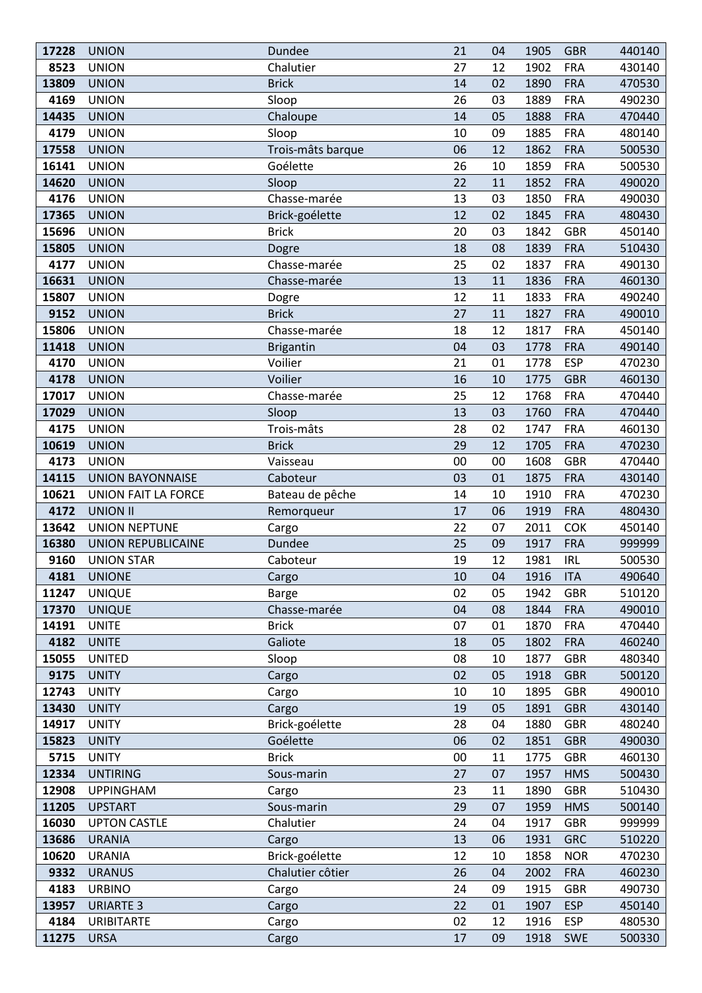| 17228 | <b>UNION</b>               | Dundee            | 21 | 04 | 1905 | <b>GBR</b> | 440140 |
|-------|----------------------------|-------------------|----|----|------|------------|--------|
| 8523  | <b>UNION</b>               | Chalutier         | 27 | 12 | 1902 | <b>FRA</b> | 430140 |
| 13809 | <b>UNION</b>               | <b>Brick</b>      | 14 | 02 | 1890 | <b>FRA</b> | 470530 |
| 4169  | <b>UNION</b>               | Sloop             | 26 | 03 | 1889 | <b>FRA</b> | 490230 |
| 14435 | <b>UNION</b>               | Chaloupe          | 14 | 05 | 1888 | <b>FRA</b> | 470440 |
| 4179  | <b>UNION</b>               | Sloop             | 10 | 09 | 1885 | <b>FRA</b> | 480140 |
| 17558 | <b>UNION</b>               | Trois-mâts barque | 06 | 12 | 1862 | <b>FRA</b> | 500530 |
| 16141 | <b>UNION</b>               | Goélette          | 26 | 10 | 1859 | <b>FRA</b> | 500530 |
| 14620 | <b>UNION</b>               | Sloop             | 22 | 11 | 1852 | <b>FRA</b> | 490020 |
| 4176  | <b>UNION</b>               | Chasse-marée      | 13 | 03 | 1850 | <b>FRA</b> | 490030 |
| 17365 | <b>UNION</b>               | Brick-goélette    | 12 | 02 | 1845 | <b>FRA</b> | 480430 |
| 15696 | <b>UNION</b>               | <b>Brick</b>      | 20 | 03 | 1842 | <b>GBR</b> | 450140 |
| 15805 | <b>UNION</b>               | Dogre             | 18 | 08 | 1839 | <b>FRA</b> | 510430 |
| 4177  | <b>UNION</b>               | Chasse-marée      | 25 | 02 | 1837 | <b>FRA</b> | 490130 |
| 16631 | <b>UNION</b>               | Chasse-marée      | 13 | 11 | 1836 | <b>FRA</b> | 460130 |
| 15807 | <b>UNION</b>               | Dogre             | 12 | 11 | 1833 | <b>FRA</b> | 490240 |
| 9152  | <b>UNION</b>               | <b>Brick</b>      | 27 | 11 | 1827 | <b>FRA</b> | 490010 |
| 15806 | <b>UNION</b>               | Chasse-marée      | 18 | 12 | 1817 | <b>FRA</b> | 450140 |
| 11418 | <b>UNION</b>               | <b>Brigantin</b>  | 04 | 03 | 1778 | <b>FRA</b> | 490140 |
| 4170  | <b>UNION</b>               | Voilier           | 21 | 01 | 1778 | <b>ESP</b> | 470230 |
| 4178  | <b>UNION</b>               | Voilier           | 16 | 10 | 1775 | <b>GBR</b> | 460130 |
| 17017 | <b>UNION</b>               | Chasse-marée      | 25 | 12 | 1768 | <b>FRA</b> | 470440 |
| 17029 | <b>UNION</b>               | Sloop             | 13 | 03 | 1760 | <b>FRA</b> | 470440 |
| 4175  | <b>UNION</b>               | Trois-mâts        | 28 | 02 | 1747 | <b>FRA</b> | 460130 |
| 10619 | <b>UNION</b>               | <b>Brick</b>      | 29 | 12 | 1705 | <b>FRA</b> | 470230 |
| 4173  | <b>UNION</b>               | Vaisseau          | 00 | 00 | 1608 | <b>GBR</b> | 470440 |
| 14115 | <b>UNION BAYONNAISE</b>    | Caboteur          | 03 | 01 | 1875 | <b>FRA</b> | 430140 |
| 10621 | <b>UNION FAIT LA FORCE</b> | Bateau de pêche   | 14 | 10 | 1910 | <b>FRA</b> | 470230 |
| 4172  | <b>UNION II</b>            | Remorqueur        | 17 | 06 | 1919 | <b>FRA</b> | 480430 |
| 13642 | <b>UNION NEPTUNE</b>       | Cargo             | 22 | 07 | 2011 | COK        | 450140 |
| 16380 | <b>UNION REPUBLICAINE</b>  | Dundee            | 25 | 09 | 1917 | <b>FRA</b> | 999999 |
| 9160  | <b>UNION STAR</b>          | Caboteur          | 19 | 12 | 1981 | <b>IRL</b> | 500530 |
| 4181  | <b>UNIONE</b>              | Cargo             | 10 | 04 | 1916 | <b>ITA</b> | 490640 |
| 11247 | <b>UNIQUE</b>              | <b>Barge</b>      | 02 | 05 | 1942 | <b>GBR</b> | 510120 |
| 17370 | <b>UNIQUE</b>              | Chasse-marée      | 04 | 08 | 1844 | <b>FRA</b> | 490010 |
| 14191 | <b>UNITE</b>               | <b>Brick</b>      | 07 | 01 | 1870 | <b>FRA</b> | 470440 |
| 4182  | <b>UNITE</b>               | Galiote           | 18 | 05 | 1802 | <b>FRA</b> | 460240 |
| 15055 | <b>UNITED</b>              | Sloop             | 08 | 10 | 1877 | <b>GBR</b> | 480340 |
| 9175  | <b>UNITY</b>               | Cargo             | 02 | 05 | 1918 | <b>GBR</b> | 500120 |
| 12743 | <b>UNITY</b>               | Cargo             | 10 | 10 | 1895 | <b>GBR</b> | 490010 |
| 13430 | <b>UNITY</b>               | Cargo             | 19 | 05 | 1891 | <b>GBR</b> | 430140 |
| 14917 | <b>UNITY</b>               | Brick-goélette    | 28 | 04 | 1880 | <b>GBR</b> | 480240 |
| 15823 | <b>UNITY</b>               | Goélette          | 06 | 02 | 1851 | <b>GBR</b> | 490030 |
| 5715  | <b>UNITY</b>               | <b>Brick</b>      | 00 | 11 | 1775 | <b>GBR</b> | 460130 |
| 12334 | <b>UNTIRING</b>            | Sous-marin        | 27 | 07 | 1957 | <b>HMS</b> | 500430 |
| 12908 | <b>UPPINGHAM</b>           | Cargo             | 23 | 11 | 1890 | <b>GBR</b> | 510430 |
| 11205 | <b>UPSTART</b>             | Sous-marin        | 29 | 07 | 1959 | <b>HMS</b> | 500140 |
| 16030 | <b>UPTON CASTLE</b>        | Chalutier         | 24 | 04 | 1917 | <b>GBR</b> | 999999 |
| 13686 | <b>URANIA</b>              | Cargo             | 13 | 06 | 1931 | <b>GRC</b> | 510220 |
| 10620 | <b>URANIA</b>              | Brick-goélette    | 12 | 10 | 1858 | <b>NOR</b> | 470230 |
| 9332  | <b>URANUS</b>              | Chalutier côtier  | 26 | 04 | 2002 | <b>FRA</b> | 460230 |
| 4183  | <b>URBINO</b>              | Cargo             | 24 | 09 | 1915 | <b>GBR</b> | 490730 |
| 13957 | <b>URIARTE 3</b>           | Cargo             | 22 | 01 | 1907 | <b>ESP</b> | 450140 |
| 4184  | <b>URIBITARTE</b>          | Cargo             | 02 | 12 | 1916 | <b>ESP</b> | 480530 |
| 11275 | <b>URSA</b>                | Cargo             | 17 | 09 | 1918 | <b>SWE</b> | 500330 |